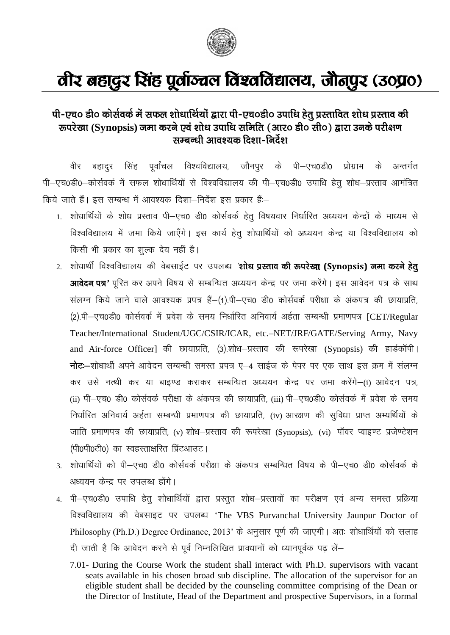

## वीर बहादुर सिंह पूर्वाञ्चल विश्वविद्यालय, जौनपुर (उ०प्र०)

## पी-एच० डी० कोर्सवर्क में सफल शोधार्थियों द्वारा पी-एच०डी० उपाधि हेतु प्रस्तावित शोध प्रस्ताव की रूपरेखा (Synopsis) जमा करने एवं शोध उपाधि समिति (आर० डी० सी०) द्वारा उनके परीक्षण सम्बन्धी आवश्यक दिशा-निर्देश

बहादुर सिंह पुर्वांचल विश्वविद्यालय, जौनपुर के पी—एच0डी0 प्रोग्राम के वीर अन्तर्गत पी-एच0डी0-कोर्सवर्क में सफल शोधार्थियों से विश्वविद्यालय की पी-एच0डी0 उपाधि हेतू शोध-प्रस्ताव आमंत्रित किये जाते हैं। इस सम्बन्ध में आवश्यक दिशा-निर्देश इस प्रकार हैं:-

- 1. शोधार्थियों के शोध प्रस्ताव पी–एच0 डी0 कोर्सवर्क हेतू विषयवार निर्धारित अध्ययन केन्द्रों के माध्यम से विश्वविद्यालय में जमा किये जाएँगे। इस कार्य हेतू शोधार्थियों को अध्ययन केन्द्र या विश्वविद्यालय को किसी भी प्रकार का शुल्क देय नहीं है।
- 2. शोधार्थी विश्वविद्यालय की वेबसाईट पर उपलब्ध 'शोध प्रस्ताव की रूपरेखा (Synopsis) जमा करने हेतु आवेदन पत्र' पूरित कर अपने विषय से सम्बन्धित अध्ययन केन्द्र पर जमा करेंगे। इस आवेदन पत्र के साथ संलग्न किये जाने वाले आवश्यक प्रपत्र हैं-(1).पी-एच0 डी0 कोर्सवर्क परीक्षा के अंकपत्र की छायाप्रति, (2).पी–एच0डी0 कोर्सवर्क में प्रवेश के समय निर्धारित अनिवार्य अर्हता सम्बन्धी प्रमाणपत्र [CET/Regular Teacher/International Student/UGC/CSIR/ICAR, etc.-NET/JRF/GATE/Serving Army, Navy and Air-force Officer] की छायाप्रति, (3).शोध-प्रस्ताव की रूपरेखा (Synopsis) की हार्डकॉपी। नोटः-शोधार्थी अपने आवेदन सम्बन्धी समस्त प्रपत्र ए-4 साईज के पेपर पर एक साथ इस क्रम में संलग्न कर उसे नत्थी कर या बाइण्ड कराकर सम्बन्धित अध्ययन केन्द्र पर जमा करेंगे–(i) आवेदन पत्र, (ii) पी–एच0 डी0 कोर्सवर्क परीक्षा के अंकपत्र की छायाप्रति, (iii) पी–एच0डी0 कोर्सवर्क में प्रवेश के समय निर्धारित अनिवार्य अर्हता सम्बन्धी प्रमाणपत्र की छायाप्रति, (iv) आरक्षण की सुविधा प्राप्त अभ्यर्थियों के जाति प्रमाणपत्र की छायाप्रति, (v) शोध–प्रस्ताव की रूपरेखा (Synopsis), (vi) पॉवर प्वाइण्ट प्रजेण्टेशन (पी0पी0टी0) का स्वहस्ताक्षरित प्रिंटआउट।
- 3. शोधार्थियों को पी-एच0 डी0 कोर्सवर्क परीक्षा के अंकपत्र सम्बन्धित विषय के पी-एच0 डी0 कोर्सवर्क के अध्ययन केन्द्र पर उपलब्ध होंगे।
- 4. पी-एच0डी0 उपाधि हेतू शोधार्थियों द्वारा प्रस्तुत शोध-प्रस्तावों का परीक्षण एवं अन्य समस्त प्रक्रिया विश्वविद्यालय की वेबसाइट पर उपलब्ध 'The VBS Purvanchal University Jaunpur Doctor of Philosophy (Ph.D.) Degree Ordinance, 2013' के अनुसार पूर्ण की जाएगी। अतः शोधार्थियों को सलाह दी जाती है कि आवेदन करने से पूर्व निम्नलिखित प्रावधानों को ध्यानपूर्वक पढ़ लें-
	- 7.01- During the Course Work the student shall interact with Ph.D. supervisors with vacant seats available in his chosen broad sub discipline. The allocation of the supervisor for an eligible student shall be decided by the counseling committee comprising of the Dean or the Director of Institute, Head of the Department and prospective Supervisors, in a formal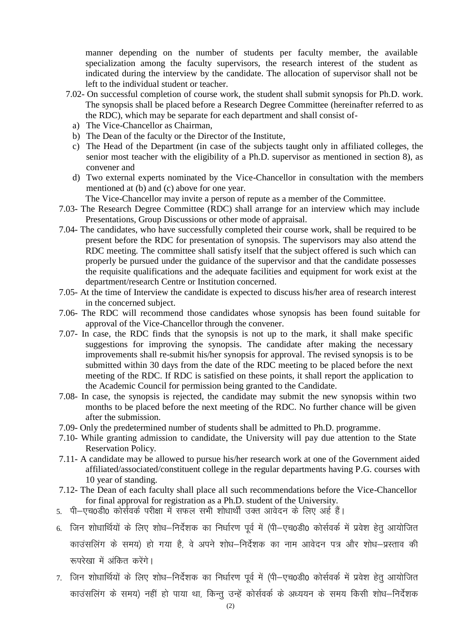manner depending on the number of students per faculty member, the available specialization among the faculty supervisors, the research interest of the student as indicated during the interview by the candidate. The allocation of supervisor shall not be left to the individual student or teacher.

- 7.02- On successful completion of course work, the student shall submit synopsis for Ph.D. work. The synopsis shall be placed before a Research Degree Committee (hereinafter referred to as the RDC), which may be separate for each department and shall consist of
	- a) The Vice-Chancellor as Chairman,
	- b) The Dean of the faculty or the Director of the Institute,
	- c) The Head of the Department (in case of the subjects taught only in affiliated colleges, the senior most teacher with the eligibility of a Ph.D. supervisor as mentioned in section 8), as convener and
	- d) Two external experts nominated by the Vice-Chancellor in consultation with the members mentioned at (b) and (c) above for one year.
		- The Vice-Chancellor may invite a person of repute as a member of the Committee.
- 7.03- The Research Degree Committee (RDC) shall arrange for an interview which may include Presentations, Group Discussions or other mode of appraisal.
- 7.04- The candidates, who have successfully completed their course work, shall be required to be present before the RDC for presentation of synopsis. The supervisors may also attend the RDC meeting. The committee shall satisfy itself that the subject offered is such which can properly be pursued under the guidance of the supervisor and that the candidate possesses the requisite qualifications and the adequate facilities and equipment for work exist at the department/research Centre or Institution concerned.
- 7.05- At the time of Interview the candidate is expected to discuss his/her area of research interest in the concerned subject.
- 7.06- The RDC will recommend those candidates whose synopsis has been found suitable for approval of the Vice-Chancellor through the convener.
- 7.07- In case, the RDC finds that the synopsis is not up to the mark, it shall make specific suggestions for improving the synopsis. The candidate after making the necessary improvements shall re-submit his/her synopsis for approval. The revised synopsis is to be submitted within 30 days from the date of the RDC meeting to be placed before the next meeting of the RDC. If RDC is satisfied on these points, it shall report the application to the Academic Council for permission being granted to the Candidate.
- 7.08- In case, the synopsis is rejected, the candidate may submit the new synopsis within two months to be placed before the next meeting of the RDC. No further chance will be given after the submission.
- 7.09- Only the predetermined number of students shall be admitted to Ph.D. programme.
- 7.10- While granting admission to candidate, the University will pay due attention to the State Reservation Policy.
- 7.11- A candidate may be allowed to pursue his/her research work at one of the Government aided affiliated/associated/constituent college in the regular departments having P.G. courses with 10 year of standing.
- 7.12- The Dean of each faculty shall place all such recommendations before the Vice-Chancellor for final approval for registration as a Ph.D. student of the University.
- 5. पी-एच0डी0 कोर्सवर्क परीक्षा में सफल सभी शोधार्थी उक्त आवेदन के लिए अर्ह हैं।
- 6. जिन शोधार्थियों के लिए शोध-निर्देशक का निर्धारण पूर्व में (पी–एच0डी0 कोर्सवर्क में प्रवेश हेतू आयोजित काउंसलिंग के समय) हो गया है, वे अपने शोध–निर्देशक का नाम आवेदन पत्र और शोध–प्रस्ताव की रूपरेखा में अंकित करेंगे।
- 7. जिन शोधार्थियों के लिए शोध-निर्देशक का निर्धारण पूर्व में (पी–एच0डी0 कोर्सवर्क में प्रवेश हेतू आयोजित काउंसलिंग के समय) नहीं हो पाया था, किन्तु उन्हें कोर्सवर्क के अध्ययन के समय किसी शोध–निर्देशक